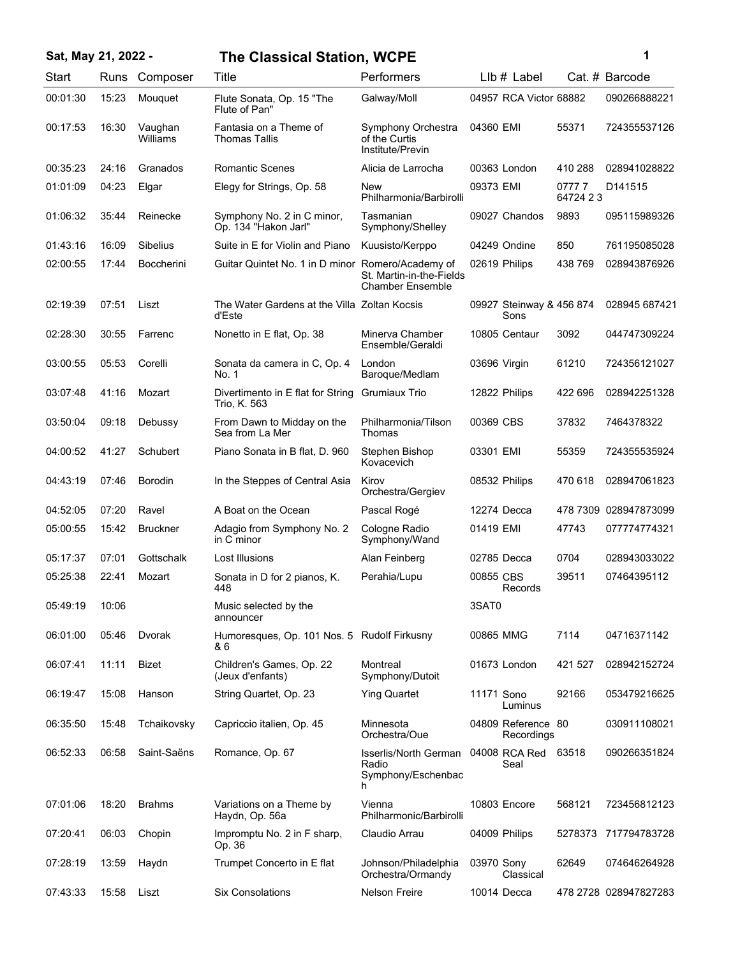| Sat, May 21, 2022 - |       |                     | <b>The Classical Station, WCPE</b>                     |                                                           |              |                                  | 1                  |                       |
|---------------------|-------|---------------------|--------------------------------------------------------|-----------------------------------------------------------|--------------|----------------------------------|--------------------|-----------------------|
| Start               | Runs  | Composer            | Title                                                  | Performers                                                |              | $Llb#$ Label                     |                    | Cat. # Barcode        |
| 00:01:30            | 15:23 | Mouquet             | Flute Sonata, Op. 15 "The<br>Flute of Pan"             | Galway/Moll                                               |              | 04957 RCA Victor 68882           |                    | 090266888221          |
| 00:17:53            | 16:30 | Vaughan<br>Williams | Fantasia on a Theme of<br><b>Thomas Tallis</b>         | Symphony Orchestra<br>of the Curtis<br>Institute/Previn   | 04360 EMI    |                                  | 55371              | 724355537126          |
| 00:35:23            | 24:16 | Granados            | <b>Romantic Scenes</b>                                 | Alicia de Larrocha                                        |              | 00363 London                     | 410 288            | 028941028822          |
| 01:01:09            | 04:23 | Elgar               | Elegy for Strings, Op. 58                              | <b>New</b><br>Philharmonia/Barbirolli                     | 09373 EMI    |                                  | 07777<br>64724 2 3 | D141515               |
| 01:06:32            | 35:44 | Reinecke            | Symphony No. 2 in C minor,<br>Op. 134 "Hakon Jarl"     | Tasmanian<br>Symphony/Shelley                             |              | 09027 Chandos                    | 9893               | 095115989326          |
| 01:43:16            | 16:09 | Sibelius            | Suite in E for Violin and Piano                        | Kuusisto/Kerppo                                           |              | 04249 Ondine                     | 850                | 761195085028          |
| 02:00:55            | 17:44 | <b>Boccherini</b>   | Guitar Quintet No. 1 in D minor Romero/Academy of      | St. Martin-in-the-Fields<br>Chamber Ensemble              |              | 02619 Philips                    | 438 769            | 028943876926          |
| 02:19:39            | 07:51 | Liszt               | The Water Gardens at the Villa Zoltan Kocsis<br>d'Este |                                                           |              | 09927 Steinway & 456 874<br>Sons |                    | 028945 687421         |
| 02:28:30            | 30:55 | Farrenc             | Nonetto in E flat, Op. 38                              | Minerva Chamber<br>Ensemble/Geraldi                       |              | 10805 Centaur                    | 3092               | 044747309224          |
| 03:00:55            | 05:53 | Corelli             | Sonata da camera in C, Op. 4<br>No. 1                  | London<br>Baroque/Medlam                                  | 03696 Virgin |                                  | 61210              | 724356121027          |
| 03:07:48            | 41:16 | Mozart              | Divertimento in E flat for String<br>Trio, K. 563      | <b>Grumiaux Trio</b>                                      |              | 12822 Philips                    | 422 696            | 028942251328          |
| 03:50:04            | 09:18 | Debussy             | From Dawn to Midday on the<br>Sea from La Mer          | Philharmonia/Tilson<br>Thomas                             | 00369 CBS    |                                  | 37832              | 7464378322            |
| 04:00:52            | 41:27 | Schubert            | Piano Sonata in B flat, D. 960                         | Stephen Bishop<br>Kovacevich                              | 03301 EMI    |                                  | 55359              | 724355535924          |
| 04:43:19            | 07:46 | <b>Borodin</b>      | In the Steppes of Central Asia                         | Kirov<br>Orchestra/Gergiev                                |              | 08532 Philips                    | 470 618            | 028947061823          |
| 04:52:05            | 07:20 | Ravel               | A Boat on the Ocean                                    | Pascal Rogé                                               |              | 12274 Decca                      |                    | 478 7309 028947873099 |
| 05:00:55            | 15:42 | <b>Bruckner</b>     | Adagio from Symphony No. 2<br>in C minor               | Cologne Radio<br>Symphony/Wand                            | 01419 EMI    |                                  | 47743              | 077774774321          |
| 05:17:37            | 07:01 | Gottschalk          | Lost Illusions                                         | Alan Feinberg                                             |              | 02785 Decca                      | 0704               | 028943033022          |
| 05:25:38            | 22:41 | Mozart              | Sonata in D for 2 pianos, K.<br>448                    | Perahia/Lupu                                              | 00855 CBS    | Records                          | 39511              | 07464395112           |
| 05:49:19            | 10:06 |                     | Music selected by the<br>announcer                     |                                                           | 3SAT0        |                                  |                    |                       |
| 06:01:00            | 05:46 | Dvorak              | Humoresques, Op. 101 Nos. 5 Rudolf Firkusny<br>& 6     |                                                           | 00865 MMG    |                                  | 7114               | 04716371142           |
| 06:07:41            | 11:11 | <b>Bizet</b>        | Children's Games, Op. 22<br>(Jeux d'enfants)           | Montreal<br>Symphony/Dutoit                               |              | 01673 London                     | 421 527            | 028942152724          |
| 06:19:47            | 15:08 | Hanson              | String Quartet, Op. 23                                 | <b>Ying Quartet</b>                                       | 11171 Sono   | Luminus                          | 92166              | 053479216625          |
| 06:35:50            | 15:48 | Tchaikovsky         | Capriccio italien, Op. 45                              | Minnesota<br>Orchestra/Oue                                |              | 04809 Reference 80<br>Recordings |                    | 030911108021          |
| 06:52:33            | 06:58 | Saint-Saëns         | Romance, Op. 67                                        | Isserlis/North German<br>Radio<br>Symphony/Eschenbac<br>h |              | 04008 RCA Red<br>Seal            | 63518              | 090266351824          |
| 07:01:06            | 18:20 | <b>Brahms</b>       | Variations on a Theme by<br>Haydn, Op. 56a             | Vienna<br>Philharmonic/Barbirolli                         |              | 10803 Encore                     | 568121             | 723456812123          |
| 07:20:41            | 06:03 | Chopin              | Impromptu No. 2 in F sharp,<br>Op. 36                  | Claudio Arrau                                             |              | 04009 Philips                    | 5278373            | 717794783728          |
| 07:28:19            | 13:59 | Haydn               | Trumpet Concerto in E flat                             | Johnson/Philadelphia<br>Orchestra/Ormandy                 | 03970 Sony   | Classical                        | 62649              | 074646264928          |
| 07:43:33            | 15:58 | Liszt               | <b>Six Consolations</b>                                | <b>Nelson Freire</b>                                      |              | 10014 Decca                      |                    | 478 2728 028947827283 |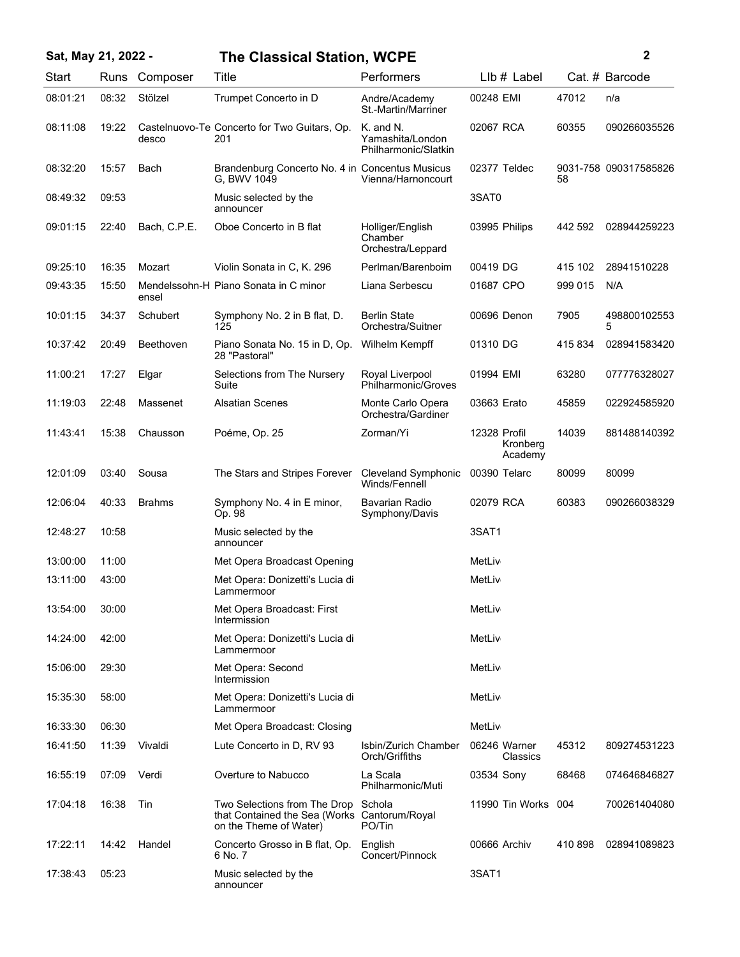| Sat, May 21, 2022 - |       |               | <b>The Classical Station, WCPE</b>                                                                            |                                                       |                                     |         | 2                     |  |  |
|---------------------|-------|---------------|---------------------------------------------------------------------------------------------------------------|-------------------------------------------------------|-------------------------------------|---------|-----------------------|--|--|
| Start               |       | Runs Composer | Title                                                                                                         | Performers                                            | LIb # Label                         |         | Cat. # Barcode        |  |  |
| 08:01:21            | 08:32 | Stölzel       | Trumpet Concerto in D                                                                                         | Andre/Academy<br>St.-Martin/Marriner                  | 00248 EMI                           | 47012   | n/a                   |  |  |
| 08:11:08            | 19:22 | desco         | Castelnuovo-Te Concerto for Two Guitars, Op.<br>201                                                           | K. and N.<br>Yamashita/London<br>Philharmonic/Slatkin | 02067 RCA                           | 60355   | 090266035526          |  |  |
| 08:32:20            | 15:57 | Bach          | Brandenburg Concerto No. 4 in Concentus Musicus<br>G, BWV 1049                                                | Vienna/Harnoncourt                                    | 02377 Teldec                        | 58      | 9031-758 090317585826 |  |  |
| 08:49:32            | 09:53 |               | Music selected by the<br>announcer                                                                            |                                                       | 3SAT0                               |         |                       |  |  |
| 09:01:15            | 22:40 | Bach, C.P.E.  | Oboe Concerto in B flat                                                                                       | Holliger/English<br>Chamber<br>Orchestra/Leppard      | 03995 Philips                       | 442 592 | 028944259223          |  |  |
| 09:25:10            | 16:35 | Mozart        | Violin Sonata in C, K. 296                                                                                    | Perlman/Barenboim                                     | 00419 DG                            | 415 102 | 28941510228           |  |  |
| 09:43:35            | 15:50 | ensel         | Mendelssohn-H Piano Sonata in C minor                                                                         | Liana Serbescu                                        | 01687 CPO                           | 999 015 | N/A                   |  |  |
| 10:01:15            | 34:37 | Schubert      | Symphony No. 2 in B flat, D.<br>125                                                                           | <b>Berlin State</b><br>Orchestra/Suitner              | 00696 Denon                         | 7905    | 498800102553<br>5     |  |  |
| 10:37:42            | 20:49 | Beethoven     | Piano Sonata No. 15 in D, Op.<br>28 "Pastoral"                                                                | Wilhelm Kempff                                        | 01310 DG                            | 415834  | 028941583420          |  |  |
| 11:00:21            | 17:27 | Elgar         | Selections from The Nursery<br>Suite                                                                          | Royal Liverpool<br>Philharmonic/Groves                | 01994 EMI                           | 63280   | 077776328027          |  |  |
| 11:19:03            | 22:48 | Massenet      | <b>Alsatian Scenes</b>                                                                                        | Monte Carlo Opera<br>Orchestra/Gardiner               | 03663 Erato                         | 45859   | 022924585920          |  |  |
| 11:43:41            | 15:38 | Chausson      | Poéme, Op. 25                                                                                                 | Zorman/Yi                                             | 12328 Profil<br>Kronberg<br>Academy | 14039   | 881488140392          |  |  |
| 12:01:09            | 03:40 | Sousa         | The Stars and Stripes Forever                                                                                 | Cleveland Symphonic<br>Winds/Fennell                  | 00390 Telarc                        | 80099   | 80099                 |  |  |
| 12:06:04            | 40:33 | <b>Brahms</b> | Symphony No. 4 in E minor,<br>Op. 98                                                                          | Bavarian Radio<br>Symphony/Davis                      | 02079 RCA                           | 60383   | 090266038329          |  |  |
| 12:48:27            | 10:58 |               | Music selected by the<br>announcer                                                                            |                                                       | 3SAT1                               |         |                       |  |  |
| 13:00:00            | 11:00 |               | Met Opera Broadcast Opening                                                                                   |                                                       | MetLiv                              |         |                       |  |  |
| 13:11:00            | 43:00 |               | Met Opera: Donizetti's Lucia di<br>Lammermoor                                                                 |                                                       | MetLiv                              |         |                       |  |  |
| 13:54:00            | 30:00 |               | Met Opera Broadcast: First<br>Intermission                                                                    |                                                       | MetLiv                              |         |                       |  |  |
| 14:24:00            | 42:00 |               | Met Opera: Donizetti's Lucia di<br>Lammermoor                                                                 |                                                       | MetLiv                              |         |                       |  |  |
| 15:06:00            | 29:30 |               | Met Opera: Second<br>Intermission                                                                             |                                                       | MetLiv                              |         |                       |  |  |
| 15:35:30            | 58:00 |               | Met Opera: Donizetti's Lucia di<br>Lammermoor                                                                 |                                                       | MetLiv                              |         |                       |  |  |
| 16:33:30            | 06:30 |               | Met Opera Broadcast: Closing                                                                                  |                                                       | MetLiv                              |         |                       |  |  |
| 16:41:50            | 11:39 | Vivaldi       | Lute Concerto in D, RV 93                                                                                     | Isbin/Zurich Chamber<br>Orch/Griffiths                | 06246 Warner<br>Classics            | 45312   | 809274531223          |  |  |
| 16:55:19            | 07:09 | Verdi         | Overture to Nabucco                                                                                           | La Scala<br>Philharmonic/Muti                         | 03534 Sony                          | 68468   | 074646846827          |  |  |
| 17:04:18            | 16:38 | Tin           | Two Selections from The Drop Schola<br>that Contained the Sea (Works Cantorum/Royal<br>on the Theme of Water) | PO/Tin                                                | 11990 Tin Works                     | 004     | 700261404080          |  |  |
| 17:22:11            | 14:42 | Handel        | Concerto Grosso in B flat, Op.<br>6 No. 7                                                                     | English<br>Concert/Pinnock                            | 00666 Archiv                        | 410 898 | 028941089823          |  |  |
| 17:38:43            | 05:23 |               | Music selected by the<br>announcer                                                                            |                                                       | 3SAT1                               |         |                       |  |  |